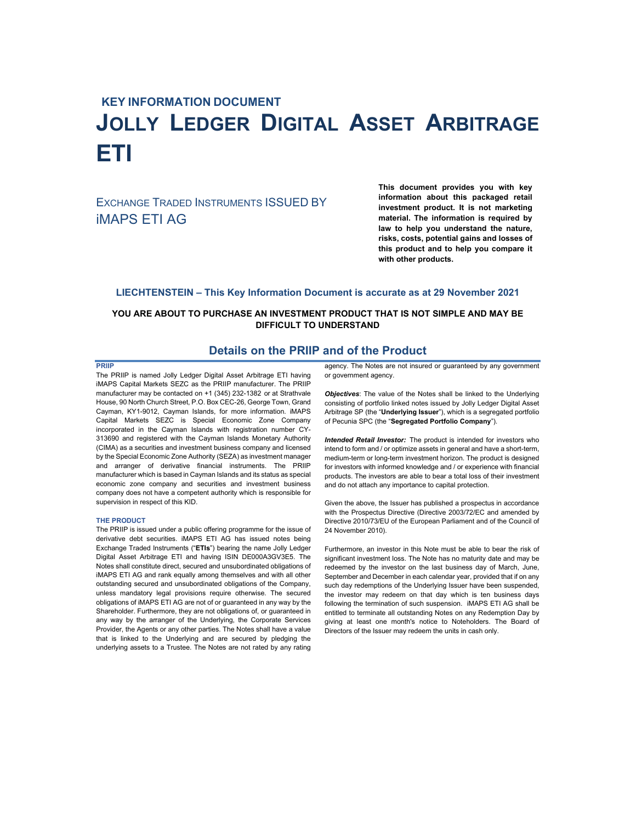# **KEY INFORMATION DOCUMENT JOLLY LEDGER DIGITAL ASSET ARBITRAGE ETI**

EXCHANGE TRADED INSTRUMENTS ISSUED BY iMAPS ETI AG

**This document provides you with key information about this packaged retail investment product. It is not marketing material. The information is required by law to help you understand the nature, risks, costs, potential gains and losses of this product and to help you compare it with other products.** 

#### **LIECHTENSTEIN – This Key Information Document is accurate as at 29 November 2021**

# **YOU ARE ABOUT TO PURCHASE AN INVESTMENT PRODUCT THAT IS NOT SIMPLE AND MAY BE DIFFICULT TO UNDERSTAND**

# **Details on the PRIIP and of the Product**

#### **PRIIP**

The PRIIP is named Jolly Ledger Digital Asset Arbitrage ETI having iMAPS Capital Markets SEZC as the PRIIP manufacturer. The PRIIP manufacturer may be contacted on +1 (345) 232-1382 or at Strathvale House, 90 North Church Street, P.O. Box CEC-26, George Town, Grand Cayman, KY1-9012, Cayman Islands, for more information. iMAPS Capital Markets SEZC is Special Economic Zone Company incorporated in the Cayman Islands with registration number CY-313690 and registered with the Cayman Islands Monetary Authority (CIMA) as a securities and investment business company and licensed by the Special Economic Zone Authority (SEZA) as investment manager and arranger of derivative financial instruments. The PRIIP manufacturer which is based in Cayman Islands and its status as special economic zone company and securities and investment business company does not have a competent authority which is responsible for supervision in respect of this KID.

#### **THE PRODUCT**

The PRIIP is issued under a public offering programme for the issue of derivative debt securities. iMAPS ETI AG has issued notes being Exchange Traded Instruments ("**ETIs**") bearing the name Jolly Ledger Digital Asset Arbitrage ETI and having ISIN DE000A3GV3E5. The Notes shall constitute direct, secured and unsubordinated obligations of iMAPS ETI AG and rank equally among themselves and with all other outstanding secured and unsubordinated obligations of the Company, unless mandatory legal provisions require otherwise. The secured obligations of iMAPS ETI AG are not of or guaranteed in any way by the Shareholder. Furthermore, they are not obligations of, or guaranteed in any way by the arranger of the Underlying, the Corporate Services Provider, the Agents or any other parties. The Notes shall have a value that is linked to the Underlying and are secured by pledging the underlying assets to a Trustee. The Notes are not rated by any rating

agency. The Notes are not insured or guaranteed by any government or government agency.

*Objectives*: The value of the Notes shall be linked to the Underlying consisting of portfolio linked notes issued by Jolly Ledger Digital Asset Arbitrage SP (the "**Underlying Issuer**"), which is a segregated portfolio of Pecunia SPC (the "**Segregated Portfolio Company**").

*Intended Retail Investor:* The product is intended for investors who intend to form and / or optimize assets in general and have a short-term, medium-term or long-term investment horizon. The product is designed for investors with informed knowledge and / or experience with financial products. The investors are able to bear a total loss of their investment and do not attach any importance to capital protection.

Given the above, the Issuer has published a prospectus in accordance with the Prospectus Directive (Directive 2003/72/EC and amended by Directive 2010/73/EU of the European Parliament and of the Council of 24 November 2010).

Furthermore, an investor in this Note must be able to bear the risk of significant investment loss. The Note has no maturity date and may be redeemed by the investor on the last business day of March, June, September and December in each calendar year, provided that if on any such day redemptions of the Underlying Issuer have been suspended, the investor may redeem on that day which is ten business days following the termination of such suspension. iMAPS ETI AG shall be entitled to terminate all outstanding Notes on any Redemption Day by giving at least one month's notice to Noteholders. The Board of Directors of the Issuer may redeem the units in cash only.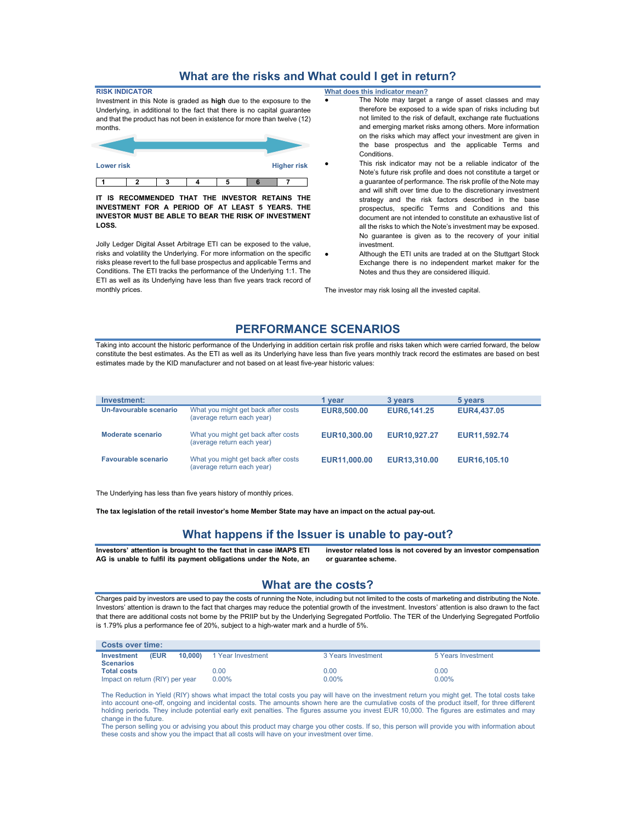# **What are the risks and What could I get in return?**

| <b>RISK INDICATOR</b>                                                    |   |   |  |  |  |  |  |
|--------------------------------------------------------------------------|---|---|--|--|--|--|--|
| Investment in this Note is graded as high due to the exposure to the     |   |   |  |  |  |  |  |
| Underlying, in additional to the fact that there is no capital guarantee |   |   |  |  |  |  |  |
| and that the product has not been in existence for more than twelve (12) |   |   |  |  |  |  |  |
| months.                                                                  |   |   |  |  |  |  |  |
|                                                                          |   |   |  |  |  |  |  |
|                                                                          |   |   |  |  |  |  |  |
|                                                                          |   |   |  |  |  |  |  |
| <b>Lower risk</b><br><b>Higher risk</b>                                  |   |   |  |  |  |  |  |
|                                                                          |   |   |  |  |  |  |  |
|                                                                          | າ | າ |  |  |  |  |  |

**IT IS RECOMMENDED THAT THE INVESTOR RETAINS THE INVESTMENT FOR A PERIOD OF AT LEAST 5 YEARS. THE INVESTOR MUST BE ABLE TO BEAR THE RISK OF INVESTMENT LOSS.** 

Jolly Ledger Digital Asset Arbitrage ETI can be exposed to the value, risks and volatility the Underlying. For more information on the specific risks please revert to the full base prospectus and applicable Terms and Conditions. The ETI tracks the performance of the Underlying 1:1. The ETI as well as its Underlying have less than five years track record of monthly prices.

**What does this indicator mean?**

- The Note may target a range of asset classes and may therefore be exposed to a wide span of risks including but not limited to the risk of default, exchange rate fluctuations and emerging market risks among others. More information on the risks which may affect your investment are given in the base prospectus and the applicable Terms and Conditions.
- This risk indicator may not be a reliable indicator of the Note's future risk profile and does not constitute a target or a guarantee of performance. The risk profile of the Note may and will shift over time due to the discretionary investment strategy and the risk factors described in the base prospectus, specific Terms and Conditions and this document are not intended to constitute an exhaustive list of all the risks to which the Note's investment may be exposed. No guarantee is given as to the recovery of your initial investment.
- Although the ETI units are traded at on the Stuttgart Stock Exchange there is no independent market maker for the Notes and thus they are considered illiquid.

The investor may risk losing all the invested capital.

# **PERFORMANCE SCENARIOS**

Taking into account the historic performance of the Underlying in addition certain risk profile and risks taken which were carried forward, the below constitute the best estimates. As the ETI as well as its Underlying have less than five years monthly track record the estimates are based on best estimates made by the KID manufacturer and not based on at least five-year historic values:

| Investment:                |                                                                   | 1 vear             | 3 years            | 5 years            |
|----------------------------|-------------------------------------------------------------------|--------------------|--------------------|--------------------|
| Un-favourable scenario     | What you might get back after costs<br>(average return each year) | <b>EUR8.500.00</b> | <b>EUR6.141.25</b> | <b>EUR4.437.05</b> |
| Moderate scenario          | What you might get back after costs<br>(average return each year) | EUR10,300,00       | EUR10.927.27       | EUR11,592.74       |
| <b>Favourable scenario</b> | What you might get back after costs<br>(average return each year) | EUR11,000.00       | EUR13,310.00       | EUR16.105.10       |

The Underlying has less than five years history of monthly prices.

**The tax legislation of the retail investor's home Member State may have an impact on the actual pay-out.** 

# **What happens if the Issuer is unable to pay-out?**

**Investors' attention is brought to the fact that in case iMAPS ETI AG is unable to fulfil its payment obligations under the Note, an** 

**investor related loss is not covered by an investor compensation or guarantee scheme.** 

#### **What are the costs?**

Charges paid by investors are used to pay the costs of running the Note, including but not limited to the costs of marketing and distributing the Note. Investors' attention is drawn to the fact that charges may reduce the potential growth of the investment. Investors' attention is also drawn to the fact that there are additional costs not borne by the PRIIP but by the Underlying Segregated Portfolio. The TER of the Underlying Segregated Portfolio is 1.79% plus a performance fee of 20%, subject to a high-water mark and a hurdle of 5%.

| <b>Costs over time:</b>                |      |        |                   |                    |                    |
|----------------------------------------|------|--------|-------------------|--------------------|--------------------|
| Investment                             | (EUR | 10.000 | 1 Year Investment | 3 Years Investment | 5 Years Investment |
| <b>Scenarios</b><br><b>Total costs</b> |      |        | 0.00              | 0.OO               | 0.00               |
| Impact on return (RIY) per year        |      |        | $0.00\%$          | $0.00\%$           | $0.00\%$           |

The Reduction in Yield (RIY) shows what impact the total costs you pay will have on the investment return you might get. The total costs take into account one-off, ongoing and incidental costs. The amounts shown here are the cumulative costs of the product itself, for three different holding periods. They include potential early exit penalties. The figures assume you invest EUR 10,000. The figures are estimates and may change in the future.

The person selling you or advising you about this product may charge you other costs. If so, this person will provide you with information about these costs and show you the impact that all costs will have on your investment over time.